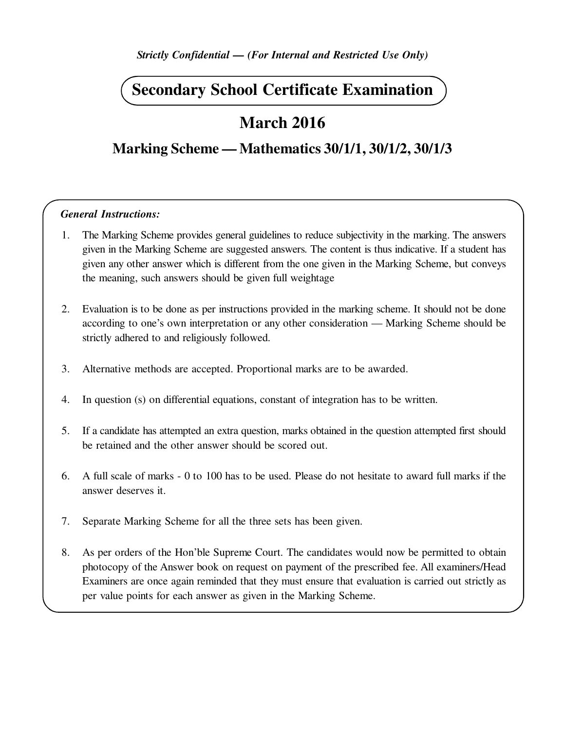*Strictly Confidential — (For Internal and Restricted Use Only)*

# **Secondary School Certificate Examination**

# **March 2016**

## **Marking Scheme — Mathematics 30/1/1, 30/1/2, 30/1/3**

#### *General Instructions:*

- 1. The Marking Scheme provides general guidelines to reduce subjectivity in the marking. The answers given in the Marking Scheme are suggested answers. The content is thus indicative. If a student has given any other answer which is different from the one given in the Marking Scheme, but conveys the meaning, such answers should be given full weightage
- 2. Evaluation is to be done as per instructions provided in the marking scheme. It should not be done according to one's own interpretation or any other consideration — Marking Scheme should be strictly adhered to and religiously followed.
- 3. Alternative methods are accepted. Proportional marks are to be awarded.
- 4. In question (s) on differential equations, constant of integration has to be written.
- 5. If a candidate has attempted an extra question, marks obtained in the question attempted first should be retained and the other answer should be scored out.
- 6. A full scale of marks 0 to 100 has to be used. Please do not hesitate to award full marks if the answer deserves it.
- 7. Separate Marking Scheme for all the three sets has been given.
- 8. As per orders of the Hon'ble Supreme Court. The candidates would now be permitted to obtain photocopy of the Answer book on request on payment of the prescribed fee. All examiners/Head Examiners are once again reminded that they must ensure that evaluation is carried out strictly as per value points for each answer as given in the Marking Scheme.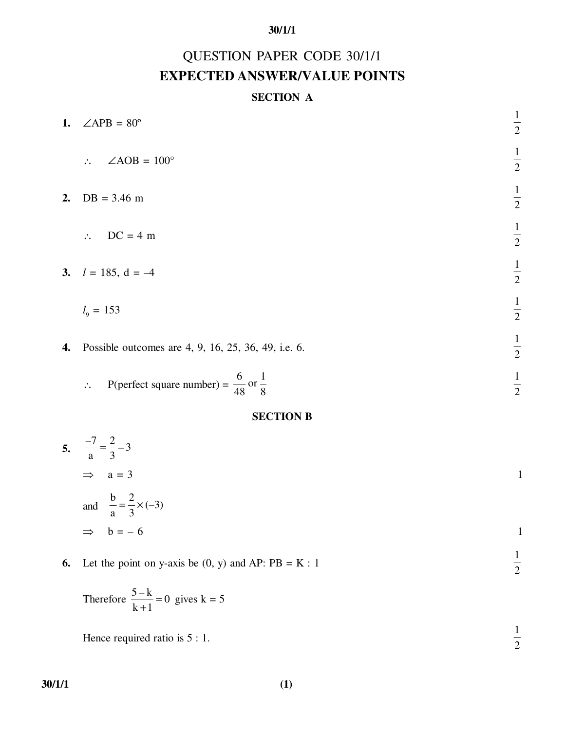# QUESTION PAPER CODE 30/1/1 **EXPECTED ANSWER/VALUE POINTS**

## **SECTION A**

| 1. | $\angle APB = 80^\circ$                      | $\frac{1}{2}$ |
|----|----------------------------------------------|---------------|
|    | $\angle AOB = 100^\circ$<br>$\ddot{\cdot}$ . | $\frac{1}{2}$ |
| 2. | $DB = 3.46$ m                                | $\frac{1}{2}$ |
|    | $DC = 4 m$<br>$\mathcal{L}_{\text{max}}$     | $\frac{1}{2}$ |
|    | 3. $l = 185$ , $d = -4$                      | $\frac{1}{2}$ |
|    | $l_{9} = 153$                                | $\frac{1}{2}$ |
|    |                                              |               |

**4.** Possible outcomes are 4, 9, 16, 25, 36, 49, i.e. 6.

$$
\therefore \quad \text{P(perfect square number)} = \frac{6}{48} \text{ or } \frac{1}{8}
$$

1 2

1 2

#### **SECTION B**

5. 
$$
\frac{-7}{a} = \frac{2}{3} - 3
$$
  
\n
$$
\Rightarrow a = 3
$$
  
\nand 
$$
\frac{b}{a} = \frac{2}{3} \times (-3)
$$
  
\n
$$
\Rightarrow b = -6
$$

**6.** Let the point on y-axis be  $(0, y)$  and AP:  $PB = K : 1$ 

Therefore 
$$
\frac{5-k}{k+1} = 0
$$
 gives  $k = 5$ 

Hence required ratio is  $5:1$ . 1 2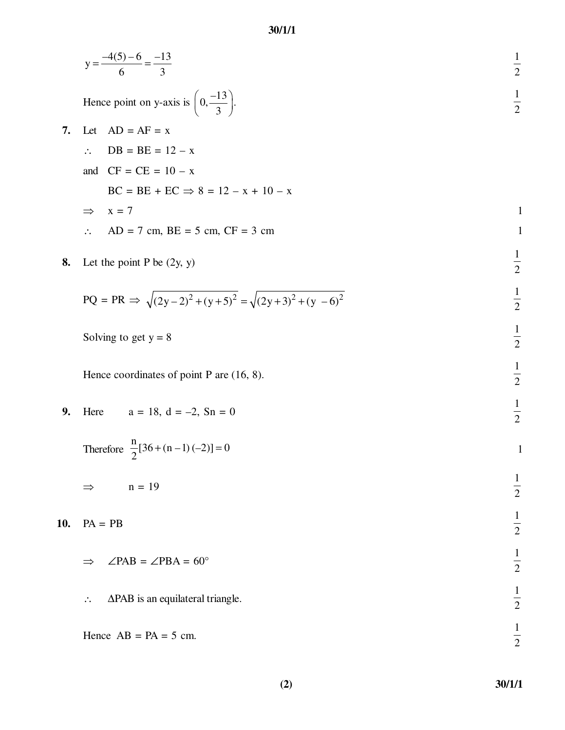|     | 30/1/1                                                                      |               |
|-----|-----------------------------------------------------------------------------|---------------|
|     | $y = \frac{-4(5) - 6}{6} = \frac{-13}{3}$                                   | $\frac{1}{2}$ |
|     | Hence point on y-axis is $\left(0, \frac{-13}{3}\right)$ .                  | $\frac{1}{2}$ |
| 7.  | $AD = AF = x$<br>Let                                                        |               |
|     | $DB = BE = 12 - x$<br>$\ddot{\cdot}$                                        |               |
|     | and $CF = CE = 10 - x$                                                      |               |
|     | $BC = BE + EC \implies 8 = 12 - x + 10 - x$                                 |               |
|     | $x = 7$<br>$\Rightarrow$                                                    | $\mathbf{1}$  |
|     | $AD = 7$ cm, $BE = 5$ cm, $CF = 3$ cm<br>$\ddot{\cdot}$                     | $\mathbf{1}$  |
| 8.  | Let the point P be $(2y, y)$                                                | $\frac{1}{2}$ |
|     | $PQ = PR \Rightarrow \sqrt{(2y-2)^2 + (y+5)^2} = \sqrt{(2y+3)^2 + (y-6)^2}$ | $\frac{1}{2}$ |
|     | Solving to get $y = 8$                                                      | $\frac{1}{2}$ |
|     | Hence coordinates of point P are $(16, 8)$ .                                | $\frac{1}{2}$ |
| 9.  | $a = 18$ , $d = -2$ , $Sn = 0$<br>Here                                      | $\frac{1}{2}$ |
|     | Therefore $\frac{n}{2}[36 + (n-1)(-2)] = 0$                                 | $\mathbf{1}$  |
|     | $n = 19$<br>⇒                                                               | $\frac{1}{2}$ |
| 10. | $PA = PB$                                                                   | $\frac{1}{2}$ |
|     | $\angle$ PAB = $\angle$ PBA = 60°                                           | $\frac{1}{2}$ |
|     | ΔPAB is an equilateral triangle.<br>∴.                                      | $\frac{1}{2}$ |

| Hence $AB = PA = 5$ cm. |  |  |
|-------------------------|--|--|
|                         |  |  |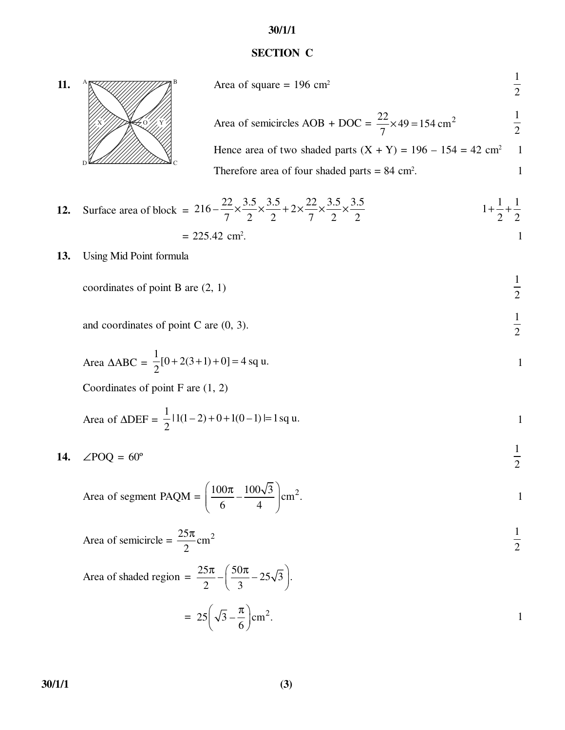## **SECTION C**



| Area of square = $196 \text{ cm}^2$                                         |  |
|-----------------------------------------------------------------------------|--|
| Area of semicircles AOB + DOC = $\frac{22}{7} \times 49 = 154 \text{ cm}^2$ |  |
| Hence area of two shaded parts $(X + Y) = 196 - 154 = 42$ cm <sup>2</sup> 1 |  |
| Therefore area of four shaded parts $= 84$ cm <sup>2</sup> .                |  |

12. Surface area of block = 
$$
216 - \frac{22}{7} \times \frac{3.5}{2} \times \frac{3.5}{2} + 2 \times \frac{22}{7} \times \frac{3.5}{2} \times \frac{3.5}{2}
$$
  
= 225.42 cm<sup>2</sup>.

**13.** Using Mid Point formula

coordinates of point B are (2, 1) 
$$
\frac{1}{2}
$$

and coordinates of point C are 
$$
(0, 3)
$$
.  $\frac{1}{2}$ 

Area 
$$
\triangle ABC = \frac{1}{2}[0 + 2(3 + 1) + 0] = 4
$$
 sq u.

Coordinates of point F are (1, 2)

Area of 
$$
\triangle DEF = \frac{1}{2} |1(1-2) + 0 + 1(0-1)| = 1
$$
 sq u.

$$
14. \quad \angle POQ = 60^{\circ}
$$

Area of segment PAQM = 
$$
\left(\frac{100\pi}{6} - \frac{100\sqrt{3}}{4}\right)
$$
cm<sup>2</sup>.

Area of semicircle = 
$$
\frac{25\pi}{2}
$$
 cm<sup>2</sup>  $\frac{1}{2}$ 

Area of shaded region = 
$$
\frac{25\pi}{2} - \left(\frac{50\pi}{3} - 25\sqrt{3}\right).
$$

$$
= 25\left(\sqrt{3} - \frac{\pi}{6}\right) \text{cm}^2.
$$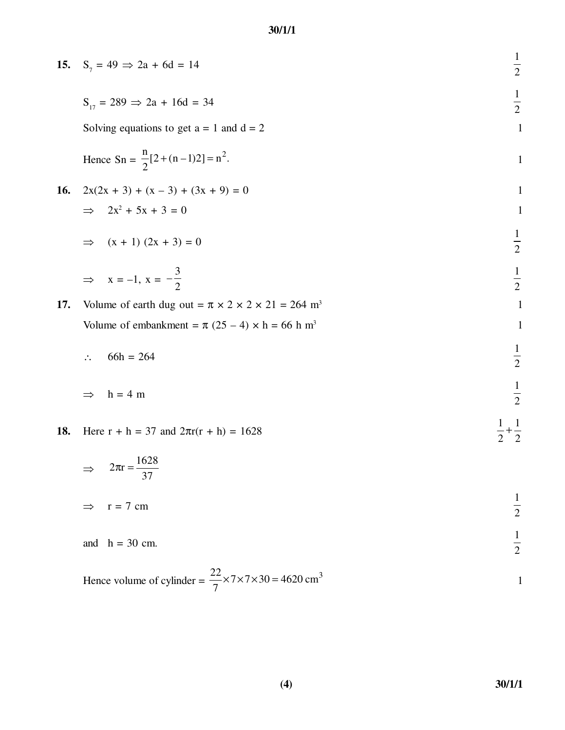| 15.        | $S_7 = 49 \implies 2a + 6d = 14$                                                 | $\frac{1}{2}$                    |
|------------|----------------------------------------------------------------------------------|----------------------------------|
|            | $S_{17} = 289 \implies 2a + 16d = 34$                                            | $\frac{1}{2}$                    |
|            | Solving equations to get $a = 1$ and $d = 2$                                     | $\mathbf{1}$                     |
|            | Hence $Sn = \frac{n}{2}[2 + (n-1)2] = n^2$ .                                     | $\mathbf{1}$                     |
| <b>16.</b> | $2x(2x + 3) + (x - 3) + (3x + 9) = 0$                                            | $\mathbf{1}$                     |
|            | $\Rightarrow 2x^2 + 5x + 3 = 0$                                                  | $\mathbf{1}$                     |
|            | $(x + 1) (2x + 3) = 0$<br>$\Rightarrow$                                          | $\frac{1}{2}$                    |
|            | $\Rightarrow$ x = -1, x = $-\frac{3}{2}$                                         | $\frac{1}{2}$                    |
| 17.        | Volume of earth dug out = $\pi \times 2 \times 2 \times 21 = 264$ m <sup>3</sup> | $\mathbf{1}$                     |
|            | Volume of embankment = $\pi$ (25 – 4) × h = 66 h m <sup>3</sup>                  | $\mathbf{1}$                     |
|            | $66h = 264$<br>$\ddot{\cdot}$                                                    | $\frac{1}{2}$                    |
|            | $h = 4 m$<br>$\Rightarrow$                                                       | $\frac{1}{2}$                    |
| 18.        | Here $r + h = 37$ and $2\pi r(r + h) = 1628$                                     | $+\frac{1}{2}$<br>$\overline{2}$ |
|            | $2\pi r = \frac{1628}{37}$                                                       |                                  |
|            | $r = 7$ cm<br>$\Rightarrow$                                                      | $\frac{1}{2}$                    |
|            | and $h = 30$ cm.                                                                 | $\frac{1}{2}$                    |

Hence volume of cylinder = 
$$
\frac{22}{7} \times 7 \times 7 \times 30 = 4620 \text{ cm}^3
$$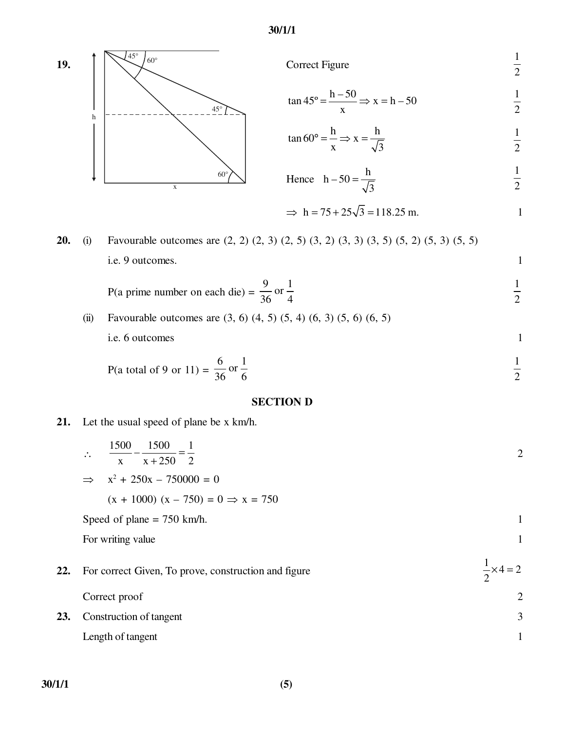

#### **SECTION D**

**21.** Let the usual speed of plane be x km/h.

|     | 1500 1500<br>$\ddot{\cdot}$<br>$\frac{x^2-250}{x+250} = \frac{1}{2}$<br>$\mathbf{x}$ | $\overline{2}$             |
|-----|--------------------------------------------------------------------------------------|----------------------------|
|     | $x^2 + 250x - 750000 = 0$<br>$\Rightarrow$                                           |                            |
|     | $(x + 1000) (x - 750) = 0 \Rightarrow x = 750$                                       |                            |
|     | Speed of plane $= 750$ km/h.                                                         | $\mathbf{1}$               |
|     | For writing value                                                                    | $\mathbf{1}$               |
| 22. | For correct Given, To prove, construction and figure                                 | $\frac{1}{2} \times 4 = 2$ |
|     | Correct proof                                                                        | $\overline{2}$             |
| 23. | Construction of tangent                                                              | 3                          |
|     | Length of tangent                                                                    | $\mathbf{1}$               |
|     |                                                                                      |                            |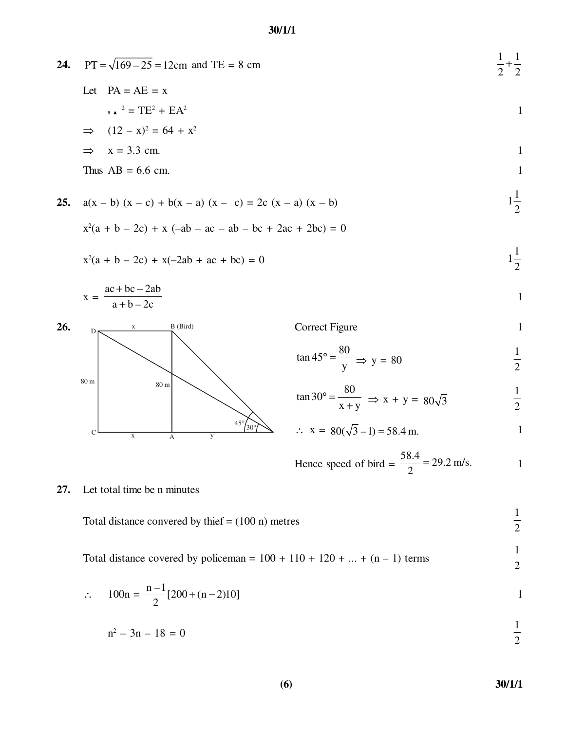| 24. | $PT = \sqrt{169} - 25 = 12$ cm and TE = 8 cm                                              |                                                                | $\frac{1}{2} + \frac{1}{2}$ |
|-----|-------------------------------------------------------------------------------------------|----------------------------------------------------------------|-----------------------------|
|     | Let $PA = AE = x$                                                                         |                                                                |                             |
|     | $\tau$ $\lambda$ $^2$ = TE <sup>2</sup> + EA <sup>2</sup>                                 |                                                                | $\mathbf{1}$                |
|     | $(12 - x)^2 = 64 + x^2$<br>$\Rightarrow$                                                  |                                                                |                             |
|     | $x = 3.3$ cm.<br>$\Rightarrow$                                                            |                                                                | $\mathbf{1}$                |
|     | Thus $AB = 6.6$ cm.                                                                       |                                                                | $\mathbf{1}$                |
| 25. | $a(x - b) (x - c) + b(x - a) (x - c) = 2c (x - a) (x - b)$                                |                                                                | $1\frac{1}{2}$              |
|     | $x^2(a + b - 2c) + x (-ab - ac - ab - bc + 2ac + 2bc) = 0$                                |                                                                |                             |
|     | $x^2(a + b - 2c) + x(-2ab + ac + bc) = 0$                                                 |                                                                | $1\frac{1}{2}$              |
|     | $x = \frac{ac + bc - 2ab}{a + b - 2c}$                                                    |                                                                | $\mathbf{1}$                |
| 26. | B (Bird)<br>D                                                                             | <b>Correct Figure</b>                                          | $\mathbf{1}$                |
|     |                                                                                           | $\tan 45^\circ = \frac{80}{y} \Rightarrow y = 80$              | $\frac{1}{2}$               |
|     | 80 m<br>$80\text{ }\mathrm{m}$                                                            | $\tan 30^{\circ} = \frac{80}{x+y} \implies x + y = 80\sqrt{3}$ | $\frac{1}{2}$               |
|     | $45^{\circ}$<br>$\frac{1}{30^{\circ}}$<br>$\mathbf C$<br>$\mathbf X$<br>y<br>$\mathbf{A}$ | $\therefore$ x = 80( $\sqrt{3}$ -1) = 58.4 m.                  | $\mathbf{1}$                |
|     |                                                                                           | Hence speed of bird = $\frac{58.4}{2}$ = 29.2 m/s.             |                             |
| 27. | Let total time be n minutes                                                               |                                                                |                             |
|     | Total distance convered by thief $= (100 \text{ n})$ metres                               |                                                                | $\frac{1}{2}$               |
|     | Total distance covered by policeman = $100 + 110 + 120 +  + (n - 1)$ terms                |                                                                | $\frac{1}{\sigma}$          |

$$
\therefore \quad 100n = \frac{n-1}{2} [200 + (n-2)10]
$$

$$
n^2 - 3n - 18 = 0
$$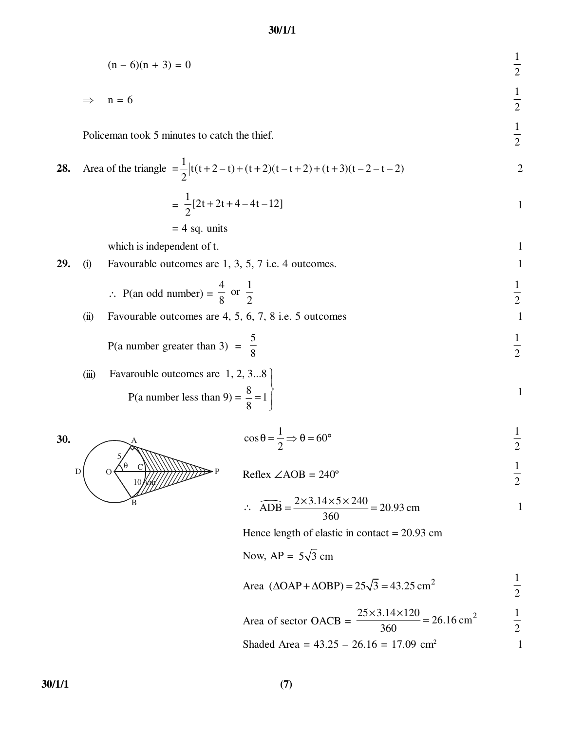$$
(n-6)(n+3) = 0
$$

$$
\Rightarrow \quad n = 6
$$

Policeman took 5 minutes to catch the thief.

28. Area of the triangle 
$$
=\frac{1}{2} |t(t+2-t)+(t+2)(t-t+2)+(t+3)(t-2-t-2)|
$$
 2

$$
= \frac{1}{2}[2t + 2t + 4 - 4t - 12]
$$

$$
= 4
$$
 sq. units

which is independent of t. 1

**29.** (i) Favourable outcomes are 
$$
1, 3, 5, 7
$$
 i.e. 4 outcomes.

$$
\therefore \text{ P(an odd number)} = \frac{4}{8} \text{ or } \frac{1}{2}
$$

(ii) Favourable outcomes are  $4, 5, 6, 7, 8$  i.e.  $5$  outcomes 1

P(a number greater than 3) = 
$$
\frac{5}{8}
$$
  $\frac{1}{2}$ 

(iii) Favarouble outcomes are 1, 2, 3...8  
P(a number less than 9) = 
$$
\frac{8}{8}
$$
 = 1  $\left\{\n \begin{array}{c}\n 1 \\
1\n \end{array}\n \right\}$ 



$$
\cos \theta = \frac{1}{2} \Rightarrow \theta = 60^{\circ}
$$
  $\frac{1}{2}$ 

$$
Reflex \angle AOB = 240^{\circ}
$$
  $\frac{1}{2}$ 

$$
\therefore \quad \widehat{ADB} = \frac{2 \times 3.14 \times 5 \times 240}{360} = 20.93 \text{ cm}
$$

Hence length of elastic in contact  $= 20.93$  cm

Now, AP =  $5\sqrt{3}$  cm

Area 
$$
(\Delta OAP + \Delta OBP) = 25\sqrt{3} = 43.25 \text{ cm}^2
$$
  $\frac{1}{2}$ 

Area of sector OACB = 
$$
\frac{25 \times 3.14 \times 120}{360} = 26.16 \text{ cm}^2
$$
  $\frac{1}{2}$ 

Shaded Area =  $43.25 - 26.16 = 17.09$  cm<sup>2</sup> 1

1 2

1 2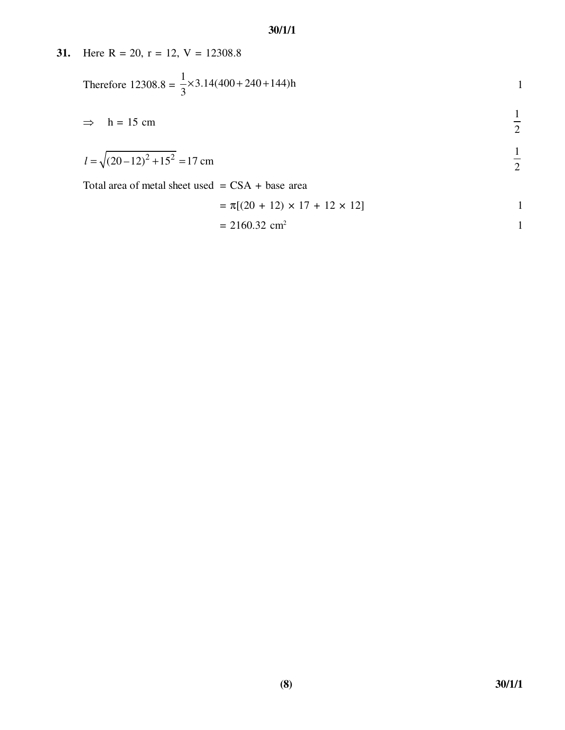**31.** Here  $R = 20$ ,  $r = 12$ ,  $V = 12308.8$ Therefore  $12308.8 =$  $\frac{1}{2}$  × 3.14(400 + 240 + 144)h  $\frac{1}{3} \times 3.14(400 + 240 + 144)$ h 1  $\Rightarrow$  h = 15 cm 1 2  $l = \sqrt{(20-12)^2 + 15^2} = 17$  cm 1 2 Total area of metal sheet used  $=$  CSA + base area  $= \pi[(20 + 12) \times 17 + 12 \times 12]$  1  $= 2160.32$  cm<sup>2</sup> 1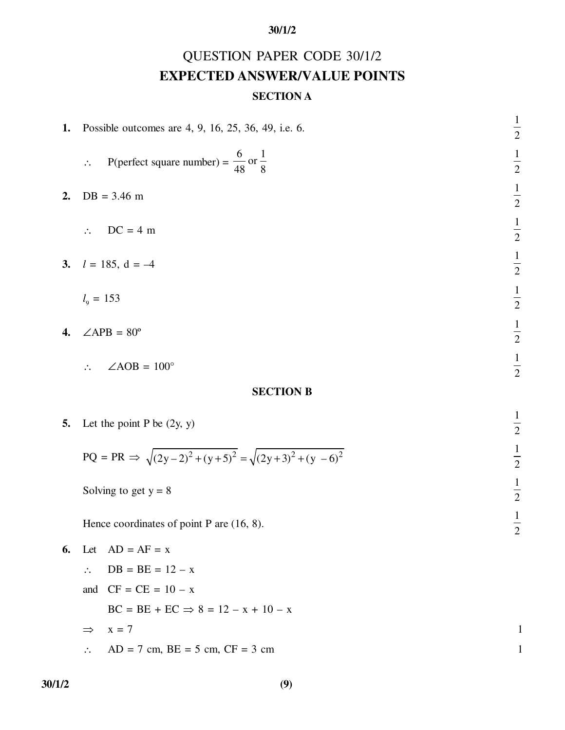# QUESTION PAPER CODE 30/1/2 **EXPECTED ANSWER/VALUE POINTS**

## **SECTION A**

| 1. | Possible outcomes are 4, 9, 16, 25, 36, 49, i.e. 6.                                   | $\frac{1}{2}$ |
|----|---------------------------------------------------------------------------------------|---------------|
|    | P(perfect square number) = $\frac{6}{48}$ or $\frac{1}{8}$<br>$\mathcal{L}_{\bullet}$ | $\frac{1}{2}$ |
| 2. | $DB = 3.46 m$                                                                         | $\frac{1}{2}$ |
|    | $DC = 4 m$                                                                            | $\frac{1}{2}$ |
| 3. | $l = 185$ , d = -4                                                                    | $\frac{1}{2}$ |
|    | $l_{\rm g} = 153$                                                                     | $\frac{1}{2}$ |
| 4. | $\angle APB = 80^{\circ}$                                                             | $\frac{1}{2}$ |
|    | $\angle AOB = 100^\circ$                                                              | $\frac{1}{2}$ |
|    | <b>SECTION B</b>                                                                      |               |
| 5. | Let the point P be $(2y, y)$                                                          | $\frac{1}{2}$ |
|    | $PQ = PR \Rightarrow \sqrt{(2y-2)^2 + (y+5)^2} = \sqrt{(2y+3)^2 + (y-6)^2}$           | $\frac{1}{2}$ |
|    | Solving to get $y = 8$                                                                | $\frac{1}{2}$ |
|    | Hence coordinates of point $P$ are $(16, 8)$ .                                        | $\frac{1}{2}$ |
| 6. | Let $AD = AF = x$                                                                     |               |
|    | $DB = BE = 12 - x$<br>$\ddot{\cdot}$ .                                                |               |
|    | $CF = CE = 10 - x$<br>and                                                             |               |
|    | $BC = BE + EC \implies 8 = 12 - x + 10 - x$                                           |               |
|    | $x = 7$<br>$\Rightarrow$                                                              | 1             |
|    | $AD = 7$ cm, $BE = 5$ cm, $CF = 3$ cm                                                 |               |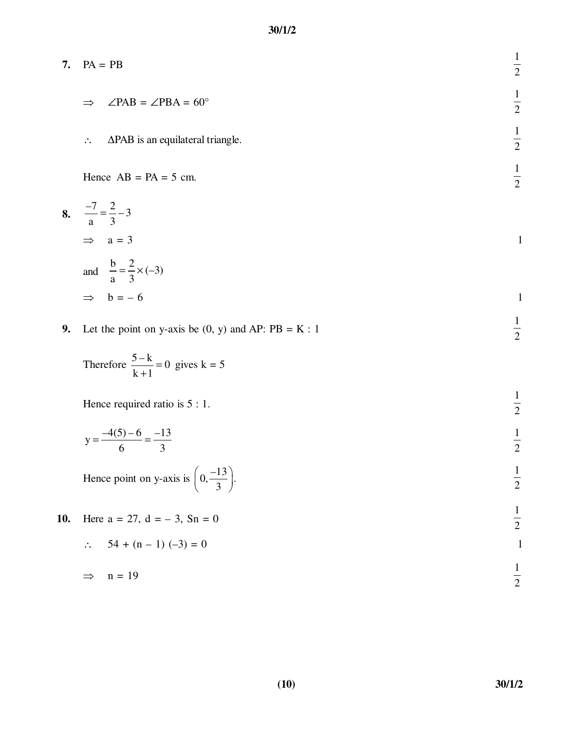| 7. $PA = PB$                                                            | $\overline{2}$      |
|-------------------------------------------------------------------------|---------------------|
| $\angle$ PAB = $\angle$ PBA = 60°<br>$\Rightarrow$                      | 1<br>$\overline{2}$ |
| $\Delta$ PAB is an equilateral triangle.<br>$\mathcal{L}_{\mathcal{L}}$ | $\overline{2}$      |
| Hence $AB = PA = 5$ cm.                                                 | ⌒                   |

8. 
$$
\frac{-7}{a} = \frac{2}{3} - 3
$$
  
\n
$$
\Rightarrow a = 3
$$
  
\nand 
$$
\frac{b}{a} = \frac{2}{3} \times (-3)
$$
  
\n
$$
\Rightarrow b = -6
$$

**9.** Let the point on y-axis be  $(0, y)$  and AP:  $PB = K : 1$ 

Therefore 
$$
\frac{5-k}{k+1} = 0
$$
 gives  $k = 5$ 

Hence required ratio is  $5:1$ . 1 2

$$
y = \frac{-4(5) - 6}{6} = \frac{-13}{3}
$$

Hence point on y-axis is 
$$
\left(0, \frac{-13}{3}\right)
$$
.

**10.** Here 
$$
a = 27
$$
,  $d = -3$ ,  $Sn = 0$   
 $\therefore 54 + (n - 1) (-3) = 0$ 

$$
\Rightarrow n = 19
$$

2

2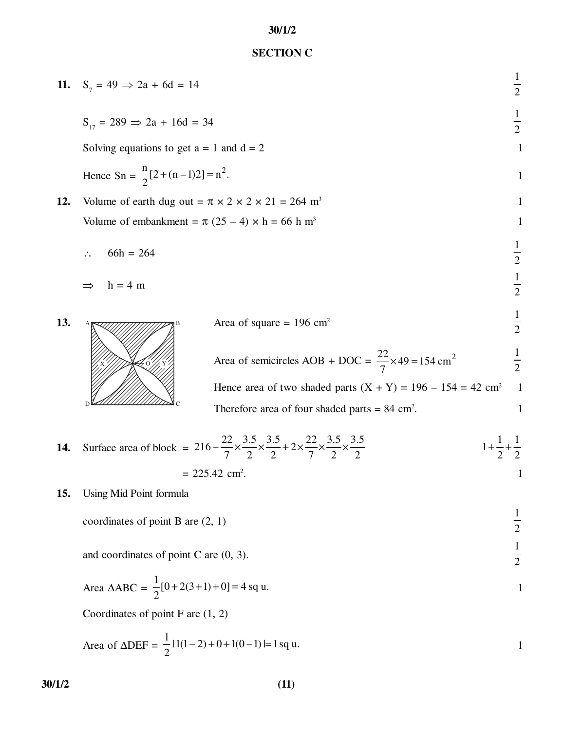## **SECTION C**

| 11. | $S_7 = 49 \implies 2a + 6d = 14$                                                                                                                                                                    |                                                                                                                                                                                                                                                                 | $\frac{1}{2}$                                                  |
|-----|-----------------------------------------------------------------------------------------------------------------------------------------------------------------------------------------------------|-----------------------------------------------------------------------------------------------------------------------------------------------------------------------------------------------------------------------------------------------------------------|----------------------------------------------------------------|
|     | $S_{17} = 289 \Rightarrow 2a + 16d = 34$<br>Solving equations to get $a = 1$ and $d = 2$                                                                                                            |                                                                                                                                                                                                                                                                 | $\frac{1}{2}$<br>$\mathbf{1}$                                  |
| 12. | Hence $Sn = \frac{n}{2}[2 + (n-1)2] = n^2$ .<br>Volume of earth dug out = $\pi \times 2 \times 2 \times 21 = 264$ m <sup>3</sup><br>Volume of embankment = $\pi$ (25 – 4) × h = 66 h m <sup>3</sup> |                                                                                                                                                                                                                                                                 | $\mathbf{1}$<br>$\mathbf{1}$<br>$\mathbf{1}$                   |
|     | $66h = 264$<br>$h = 4$ m                                                                                                                                                                            |                                                                                                                                                                                                                                                                 | $\frac{1}{2}$<br>$\frac{1}{2}$                                 |
| 13. |                                                                                                                                                                                                     | Area of square = $196 \text{ cm}^2$<br>Area of semicircles AOB + DOC = $\frac{22}{7} \times 49 = 154 \text{ cm}^2$<br>Hence area of two shaded parts $(X + Y) = 196 - 154 = 42$ cm <sup>2</sup><br>Therefore area of four shaded parts $= 84$ cm <sup>2</sup> . | $\frac{1}{2}$<br>$\frac{1}{2}$<br>$\mathbf{1}$<br>$\mathbf{1}$ |
| 14. |                                                                                                                                                                                                     | Surface area of block = $216 - \frac{22}{7} \times \frac{3.5}{2} \times \frac{3.5}{2} + 2 \times \frac{22}{7} \times \frac{3.5}{2} \times \frac{3.5}{2}$                                                                                                        | $1+\frac{1}{2}+\frac{1}{2}$                                    |
| 15. | Using Mid Point formula<br>coordinates of point B are (2, 1)                                                                                                                                        | $= 225.42$ cm <sup>2</sup> .                                                                                                                                                                                                                                    | $\mathbf{1}$<br>$\frac{1}{2}$                                  |
|     | and coordinates of point C are $(0, 3)$ .                                                                                                                                                           |                                                                                                                                                                                                                                                                 | $\frac{1}{2}$                                                  |
|     | Area $\triangle ABC = \frac{1}{2}[0 + 2(3 + 1) + 0] = 4$ sq u.<br>Coordinates of point $F$ are $(1, 2)$                                                                                             |                                                                                                                                                                                                                                                                 | $\mathbf{1}$                                                   |
|     | Area of $\triangle DEF = \frac{1}{2}  1(1-2)+0+1(0-1)  = 1$ sq u.                                                                                                                                   |                                                                                                                                                                                                                                                                 | 1                                                              |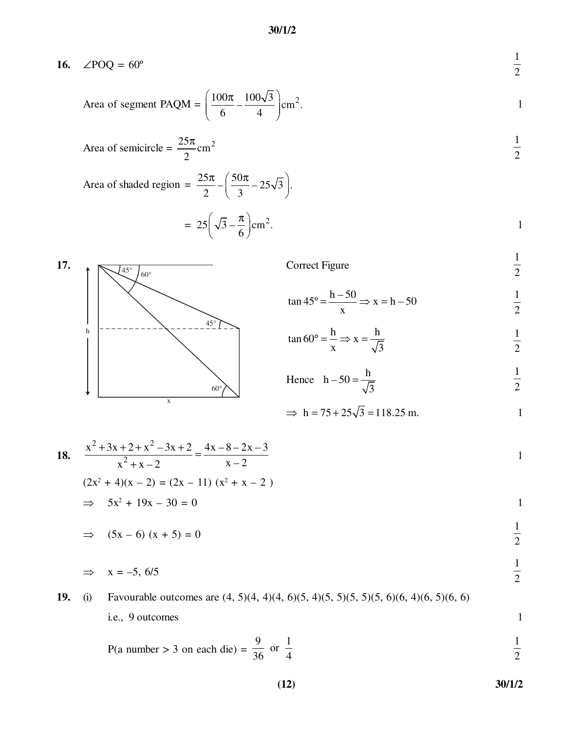### **16.** ∠POQ =  $60^{\circ}$

Area of segment PAQM = 
$$
\left(\frac{100\pi}{6} - \frac{100\sqrt{3}}{4}\right)
$$
 cm<sup>2</sup>.

Area of semicircle = 
$$
\frac{25\pi}{2}
$$
 cm<sup>2</sup>  $\frac{1}{2}$ 

Area of shaded region = 
$$
\frac{25\pi}{2} - \left(\frac{50\pi}{3} - 25\sqrt{3}\right)
$$

$$
= 25\left(\sqrt{3} - \frac{\pi}{6}\right) \text{cm}^2.
$$



$$
\Rightarrow h = 75 + 25\sqrt{3} = 118.25 \text{ m.}
$$

18. 
$$
\frac{x^2 + 3x + 2 + x^2 - 3x + 2}{x^2 + x - 2} = \frac{4x - 8 - 2x - 3}{x - 2}
$$
  
(2x<sup>2</sup> + 4)(x - 2) = (2x - 11) (x<sup>2</sup> + x - 2)

$$
\Rightarrow 5x^2 + 19x - 30 = 0
$$

$$
\Rightarrow (5x - 6) (x + 5) = 0
$$

$$
\Rightarrow \quad x = -5, \, 6/5
$$

**19.** (i) Favourable outcomes are (4, 5)(4, 4)(4, 6)(5, 4)(5, 5)(5, 5)(5, 6)(6, 4)(6, 5)(6, 6) i.e., 9 outcomes 1

P(a number > 3 on each die) = 
$$
\frac{9}{36}
$$
 or  $\frac{1}{4}$   $\frac{1}{2}$ 

**(12) 30/1/2**

1 2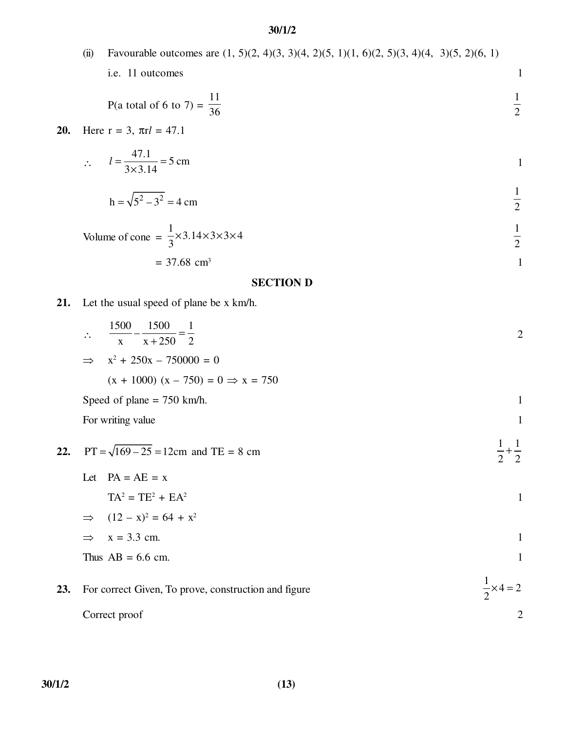|     |                         | $\mathbf{v}$ $\mathbf{u}$ $\mathbf{u}$                                                       |                |
|-----|-------------------------|----------------------------------------------------------------------------------------------|----------------|
|     | (ii)                    | Favourable outcomes are $(1, 5)(2, 4)(3, 3)(4, 2)(5, 1)(1, 6)(2, 5)(3, 4)(4, 3)(5, 2)(6, 1)$ |                |
|     |                         | i.e. 11 outcomes                                                                             | $\mathbf{1}$   |
|     |                         | P(a total of 6 to 7) = $\frac{11}{36}$                                                       | $\frac{1}{2}$  |
| 20. |                         | Here $r = 3$ , $\pi r l = 47.1$                                                              |                |
|     |                         | $\therefore$ $l = \frac{47.1}{3 \times 3.14} = 5$ cm                                         | $\mathbf{1}$   |
|     |                         | $h = \sqrt{5^2 - 3^2} = 4$ cm                                                                | $\frac{1}{2}$  |
|     |                         | Volume of cone = $\frac{1}{3} \times 3.14 \times 3 \times 3 \times 4$                        | $\frac{1}{2}$  |
|     |                         | $= 37.68$ cm <sup>3</sup>                                                                    | $\mathbf{1}$   |
|     |                         | <b>SECTION D</b>                                                                             |                |
| 21. |                         | Let the usual speed of plane be x km/h.                                                      |                |
|     | $\mathcal{L}_{\bullet}$ | $\frac{1500}{x} - \frac{1500}{x + 250} = \frac{1}{2}$                                        | $\overline{2}$ |
|     |                         | $x^2 + 250x - 750000 = 0$                                                                    |                |
|     |                         | $(x + 1000) (x - 750) = 0 \Rightarrow x = 750$                                               |                |
|     |                         | Speed of plane $= 750$ km/h.                                                                 | $\mathbf{1}$   |
|     |                         | For writing value                                                                            | $\mathbf{1}$   |
| 22. |                         | $PT = \sqrt{169 - 25} = 12$ cm and TE = 8 cm                                                 |                |

Let 
$$
PA = AE = x
$$
  
\n
$$
TA^2 = TE^2 + EA^2
$$
\n
$$
\Rightarrow (12 - x)^2 = 64 + x^2
$$
\n
$$
\Rightarrow x = 3.3 \text{ cm.}
$$
\nThus  $AB = 6.6 \text{ cm.}$ 

#### **23.** For correct Given, To prove, construction and figure  $\frac{1}{2} \times 4 = 2$ 2  $\times 4 =$ Correct proof 2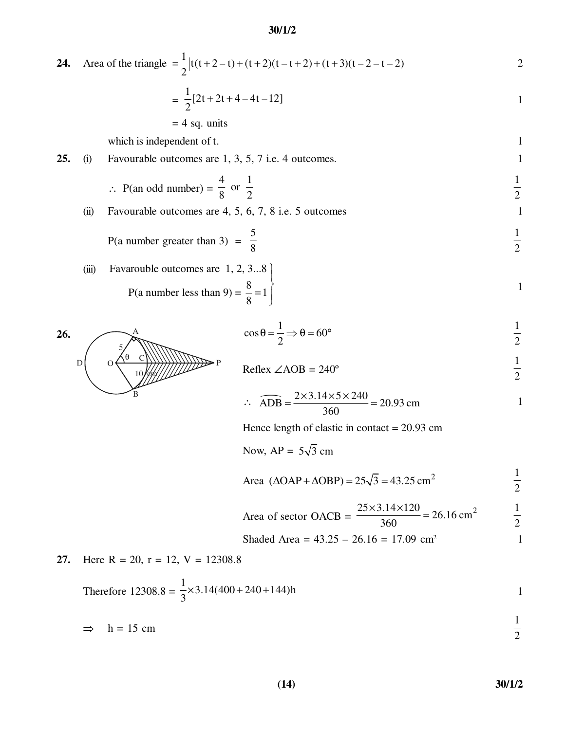24. Area of the triangle 
$$
=\frac{1}{2} |t(t+2-t)+(t+2)(t-t+2)+(t+3)(t-2-t-2)|
$$
  

$$
=\frac{1}{2} [2t+2t+4-4t-12]
$$

$$
= 4 sq. units
$$

which is independent of t. 1

**25.** (i) Favourable outcomes are 1, 3, 5, 7 i.e. 4 outcomes. 1

$$
\therefore \text{ P(an odd number)} = \frac{4}{8} \text{ or } \frac{1}{2}
$$

(ii) Favourable outcomes are  $4, 5, 6, 7, 8$  i.e.  $5$  outcomes 1

P(a number greater than 3) = 
$$
\frac{5}{8}
$$
  $\frac{1}{2}$ 

(iii) Favarouble outcomes are 1, 2, 3...8  
\n
$$
P(a number less than 9) = \frac{8}{8} = 1
$$

$$
\cos \theta = \frac{1}{2} \Rightarrow \theta = 60^{\circ}
$$
  $\frac{1}{2}$ 



$$
\therefore \quad \widehat{ADB} = \frac{2 \times 3.14 \times 5 \times 240}{360} = 20.93 \text{ cm}
$$

Hence length of elastic in contact = 20.93 cm

Now, 
$$
AP = 5\sqrt{3}
$$
 cm

Area 
$$
(\Delta OAP + \Delta OBP) = 25\sqrt{3} = 43.25 \text{ cm}^2
$$
  $\frac{1}{2}$ 

Area of sector OACB = 
$$
\frac{25 \times 3.14 \times 120}{360} = 26.16 \text{ cm}^2
$$
  $\frac{1}{2}$ 

Shaded Area = 
$$
43.25 - 26.16 = 17.09
$$
 cm<sup>2</sup>

**27.** Here 
$$
R = 20
$$
,  $r = 12$ ,  $V = 12308.8$ 

Therefore 
$$
12308.8 = \frac{1}{3} \times 3.14(400 + 240 + 144)h
$$

$$
\Rightarrow h = 15 \text{ cm}
$$

$$
(14) \t\t\t\t\t\t\t30/1/2
$$

**26.** P B D O θ C 10 cm 5

 $\overbrace{\phantom{aaaaa}}^{\rm A}$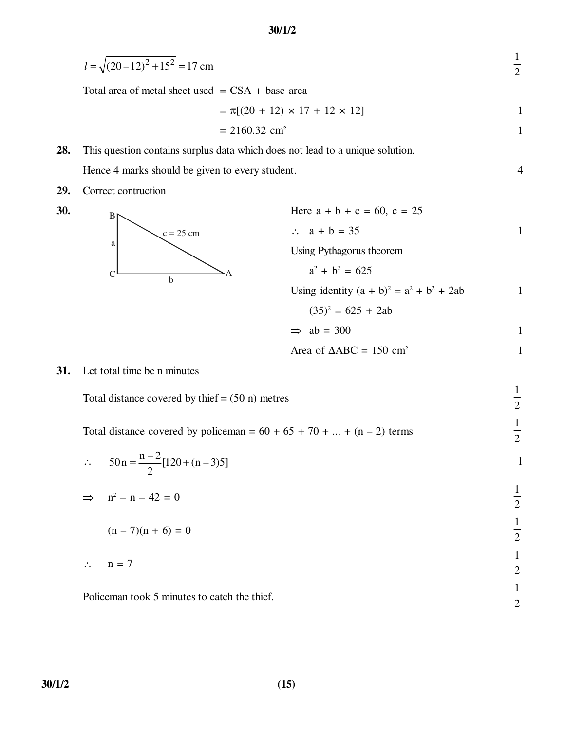| $l = \sqrt{(20-12)^2 + 15^2} = 17$ cm |
|---------------------------------------|
|---------------------------------------|

Total area of metal sheet used  $=$  CSA + base area

$$
= \pi[(20 + 12) \times 17 + 12 \times 12]
$$

$$
= 2160.32 \, \text{cm}^2
$$

**28.** This question contains surplus data which does not lead to a unique solution. Hence 4 marks should be given to every student. 4

**29.** Correct contruction





| 30. | Br          | Here $a + b + c = 60$ , $c = 25$             |   |
|-----|-------------|----------------------------------------------|---|
|     | $c = 25$ cm | $\therefore$ a + b = 35                      | 1 |
|     | a           | Using Pythagorus theorem                     |   |
|     | b           | $a^2 + b^2 = 625$                            |   |
|     |             | Using identity $(a + b)^2 = a^2 + b^2 + 2ab$ |   |
|     |             | $(35)^2 = 625 + 2ab$                         |   |
|     |             | $\Rightarrow$ ab = 300                       | 1 |
|     |             |                                              |   |

1 2

1 2

1 2

1 2

Area of  $\triangle ABC = 150 \text{ cm}^2$  1

**31.** Let total time be n minutes

Total distance covered by thief  $= (50 \text{ n})$  metres

Total distance covered by policeman =  $60 + 65 + 70 + ... + (n - 2)$  terms

$$
\therefore 50n = \frac{n-2}{2}[120 + (n-3)5]
$$
  
\n
$$
\Rightarrow n^2 - n - 42 = 0
$$
  
\n
$$
(n-7)(n+6) = 0
$$
  
\n
$$
\therefore n = 7
$$
  
\n
$$
\frac{1}{2}
$$
  
\n
$$
\frac{1}{2}
$$

Policeman took 5 minutes to catch the thief.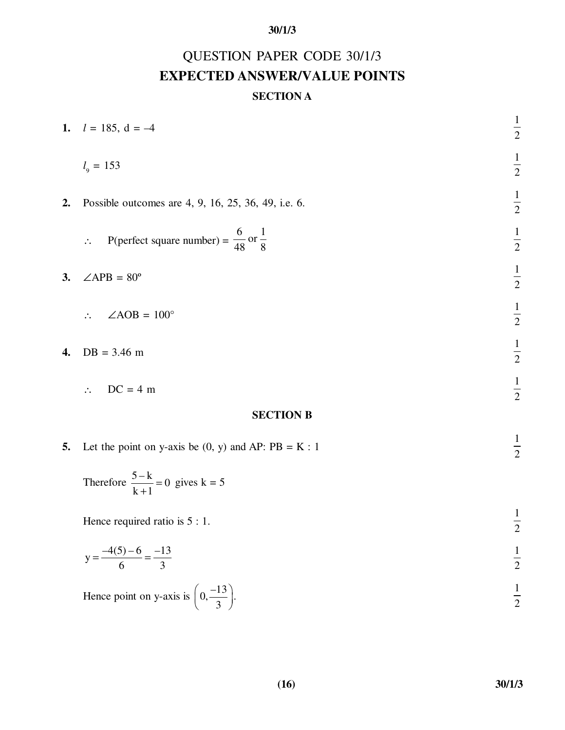# QUESTION PAPER CODE 30/1/3 **EXPECTED ANSWER/VALUE POINTS**

## **SECTION A**

|                  | 1. $l = 185$ , $d = -4$                                                      | $\frac{1}{2}$ |
|------------------|------------------------------------------------------------------------------|---------------|
|                  | $l_{\rm g} = 153$                                                            | $\frac{1}{2}$ |
| 2.               | Possible outcomes are 4, 9, 16, 25, 36, 49, i.e. 6.                          | $\frac{1}{2}$ |
|                  | P(perfect square number) = $\frac{6}{48}$ or $\frac{1}{8}$<br>$\ddot{\cdot}$ | $\frac{1}{2}$ |
| 3.               | $\angle APB = 80^{\circ}$                                                    | $\frac{1}{2}$ |
|                  | $\angle AOB = 100^\circ$<br>$\ddot{\cdot}$                                   | $\frac{1}{2}$ |
| 4.               | $DB = 3.46$ m                                                                | $\frac{1}{2}$ |
|                  | $DC = 4 m$<br>$\ddot{\cdot}$ .                                               | $\frac{1}{2}$ |
| <b>SECTION B</b> |                                                                              |               |
|                  | $1 \cdot R$                                                                  | $\mathbf{1}$  |

**5.** Let the point on y-axis be  $(0, y)$  and AP:  $PB = K : 1$ 

Therefore 
$$
\frac{5-k}{k+1} = 0
$$
 gives  $k = 5$ 

Hence required ratio is  $5:1$ . 1 2

$$
y = \frac{-4(5) - 6}{6} = \frac{-13}{3}
$$
  $\frac{1}{2}$ 

Hence point on y-axis is  $\left(0, \frac{-13}{2}\right)$ .  $\left(0, \frac{-13}{3}\right)$ 1 2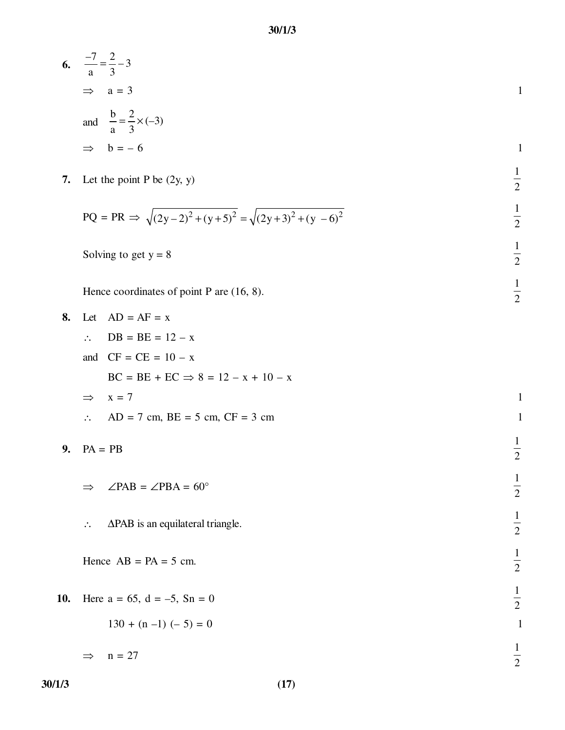| 6. $\frac{-7}{a} = \frac{2}{3} - 3$         |  |
|---------------------------------------------|--|
| $\implies$ a = 3                            |  |
| and $\frac{b}{a} = \frac{2}{3} \times (-3)$ |  |
| $\Rightarrow$ b = -6                        |  |

7. Let the point P be (2y, y) 
$$
\frac{1}{2}
$$

$$
PQ = PR \implies \sqrt{(2y-2)^2 + (y+5)^2} = \sqrt{(2y+3)^2 + (y-6)^2}
$$

1 2

1 2

Solving to get 
$$
y = 8
$$

Hence coordinates of point P are  $(16, 8)$ .

**8.** Let  $AD = AF = x$ ∴ DB = BE = 12 – x and  $CF = CE =  $10 - x$$  $BC = BE + EC \implies 8 = 12 - x + 10 - x$  $\Rightarrow$  x = 7 1 ∴ AD = 7 cm, BE = 5 cm, CF = 3 cm 1 **9.** PA = PB 1 2  $\Rightarrow$  ∠PAB = ∠PBA = 60° 1 2 ∴ ∆PAB is an equilateral triangle. 1 2 Hence  $AB = PA = 5$  cm. 1 2 10. Here  $a = 65$ ,  $d = -5$ ,  $Sn = 0$ 1 2  $130 + (n - 1) (-5) = 0$  $\implies$  n = 27 1 2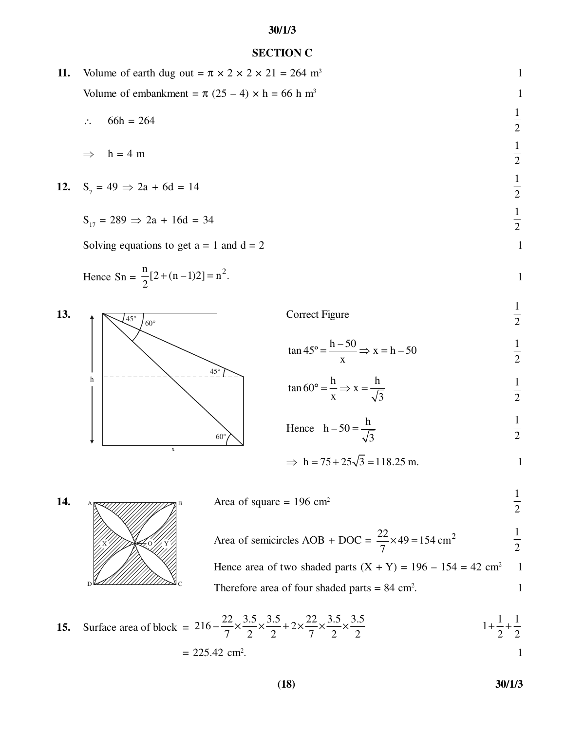#### **SECTION C**

**11.** Volume of earth dug out =  $\pi \times 2 \times 2 \times 21 = 264$  m<sup>3</sup> Volume of embankment =  $\pi$  (25 – 4) × h = 66 h m<sup>3</sup> 1

∴ 66h = 264

$$
\Rightarrow h = 4 \text{ m}
$$

12. 
$$
S_7 = 49 \Rightarrow 2a + 6d = 14
$$

$$
S_{17} = 289 \implies 2a + 16d = 34
$$

Solving equations to get  $a = 1$  and  $d = 2$  1

Hence 
$$
\text{Sn} = \frac{n}{2} [2 + (n-1)2] = n^2
$$
.



$$
\tan 45^\circ = \frac{h - 50}{x} \Rightarrow x = h - 50
$$

$$
\tan 60^\circ = \frac{\text{h}}{\text{x}} \Rightarrow \text{x} = \frac{\text{h}}{\sqrt{3}}
$$

Hence 
$$
h-50 = \frac{h}{\sqrt{3}}
$$
  $\frac{1}{2}$ 

$$
\Rightarrow h = 75 + 25\sqrt{3} = 118.25 \text{ m}.
$$



1 2 Area of semicircles AOB + DOC =  $\frac{22}{7} \times 49 = 154 \text{ cm}^2$ 7  $\times$ 49 = 1 2 Hence area of two shaded parts  $(X + Y) = 196 - 154 = 42$  cm<sup>2</sup> 1

Therefore area of four shaded parts  $= 84$  cm<sup>2</sup>. . The state  $1$ 

**15.** Surface area of block = 
$$
216 - \frac{22}{7} \times \frac{3.5}{2} \times \frac{3.5}{2} + 2 \times \frac{22}{7} \times \frac{3.5}{2} \times \frac{3.5}{2}
$$
  
= 225.42 cm<sup>2</sup>.

**(18) 30/1/3**

1 2

1 2

1 2

1 2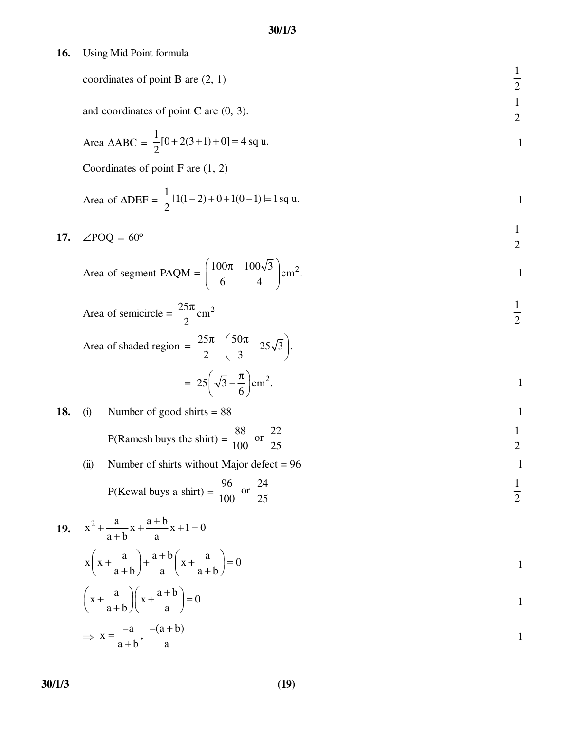**16.** Using Mid Point formula

coordinates of point B are (2, 1)  $\frac{1}{2}$ 

and coordinates of point 
$$
C
$$
 are  $(0, 3)$ .

Area 
$$
\triangle ABC = \frac{1}{2} [0 + 2(3 + 1) + 0] = 4
$$
 sq u.

Coordinates of point F are (1, 2)

Area of 
$$
\triangle DEF = \frac{1}{2} |1(1-2) + 0 + 1(0-1)| = 1
$$
 sq u.

17. 
$$
\angle POQ = 60^{\circ}
$$
  $\frac{1}{2}$ 

Area of segment PAQM = 
$$
\left(\frac{100\pi}{6} - \frac{100\sqrt{3}}{4}\right)
$$
 cm<sup>2</sup>.

Area of semicircle = 
$$
\frac{25\pi}{2}
$$
 cm<sup>2</sup>  $\frac{1}{2}$ 

Area of shaded region = 
$$
\frac{25\pi}{2} - \left(\frac{50\pi}{3} - 25\sqrt{3}\right).
$$

$$
= 25\left(\sqrt{3} - \frac{\pi}{6}\right) \text{cm}^2.
$$

 $\frac{1}{2}$ 

1

1

## **18.** (i) Number of good shirts  $= 88$

P(Ramesh buys the shirt) = 
$$
\frac{88}{100}
$$
 or  $\frac{22}{25}$   $\frac{1}{2}$ 

(ii) Number of shirts without Major defect = 
$$
96
$$

P(Kewal buys a shirt) = 
$$
\frac{96}{100}
$$
 or  $\frac{24}{25}$   $\frac{1}{2}$ 

19. 
$$
x^2 + \frac{a}{a+b}x + \frac{a+b}{a}x + 1 = 0
$$
  
\n $x\left(x + \frac{a}{a+b}\right) + \frac{a+b}{a}\left(x + \frac{a}{a+b}\right) = 0$   
\n $\left(x + \frac{a}{a+b}\right)\left(x + \frac{a+b}{a}\right) = 0$   
\n $\Rightarrow x = \frac{-a}{a+b}, \frac{-(a+b)}{a}$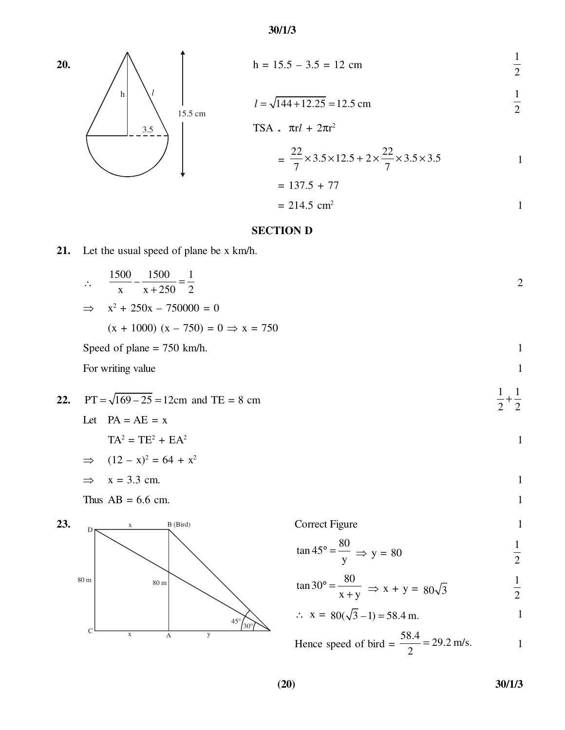20. 
$$
h = 15.5 - 3.5 = 12 \text{ cm}
$$
  $\frac{1}{2}$ 

$$
l = \sqrt{144 + 12.25} = 12.5 \text{ cm}
$$
  $\frac{1}{2}$ 

$$
rac{3.5}{15.5 \text{ cm}}
$$
  
\n
$$
rac{3.5}{15.5 \text{ cm}}
$$
  
\nTSA.  $\pi r l + 2\pi r^2$   
\n
$$
= \frac{22}{7} \times 3.5 \times 12.5 + 2 \times \frac{22}{7} \times 3.5 \times 3.5
$$
  
\n
$$
= 137.5 + 77
$$
  
\n
$$
= 214.5 \text{ cm}^2
$$

### **SECTION D**

## **21.** Let the usual speed of plane be x km/h.

$$
\therefore \qquad \frac{1500}{x} - \frac{1500}{x + 250} = \frac{1}{2}
$$

$$
\Rightarrow x^2 + 250x - 750000 = 0
$$

 $(x + 1000) (x - 750) = 0 \Rightarrow x = 750$ 

Speed of plane  $= 750 \text{ km/h}$ .

For writing value 1

h *l*

22. PT = 
$$
\sqrt{169 - 25} = 12
$$
cm and TE = 8 cm  
Let PA = AE = x

$$
TA^2 = TE^2 + EA^2
$$

$$
\Rightarrow (12 - x)^2 = 64 + x^2
$$

$$
\Rightarrow x = 3.3 \text{ cm.}
$$

Thus  $AB = 6.6$  cm.



| Correct Figure |  |
|----------------|--|
|                |  |

$$
\tan 45^\circ = \frac{80}{y} \implies y = 80 \qquad \frac{1}{2}
$$

$$
\tan 30^\circ = \frac{80}{x+y} \implies x + y = 80\sqrt{3}
$$

$$
\therefore x = 80(\sqrt{3} - 1) = 58.4 \text{ m.}
$$

Hence speed of bird = 
$$
\frac{58.4}{2}
$$
 = 29.2 m/s.

1 2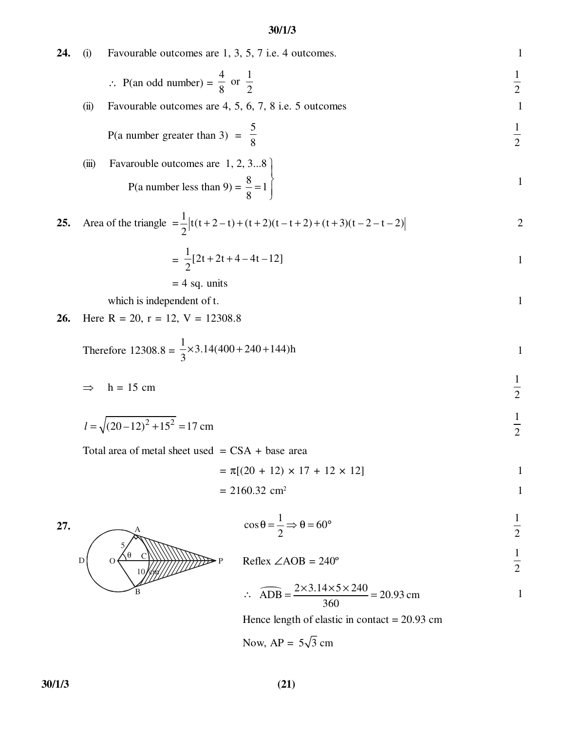**24.** (i) Favourable outcomes are 1, 3, 5, 7 i.e. 4 outcomes. 1

$$
\therefore \text{ P(an odd number)} = \frac{4}{8} \text{ or } \frac{1}{2}
$$

(ii) Favourable outcomes are  $4, 5, 6, 7, 8$  i.e.  $5$  outcomes 1

P(a number greater than 3) = 
$$
\frac{5}{8}
$$
  $\frac{1}{2}$ 

(iii) Favarouble outcomes are 1, 2, 3...8  
\n
$$
P(a number less than 9) = \frac{8}{8} = 1
$$

25. Area of the triangle 
$$
=\frac{1}{2} |t(t+2-t)+(t+2)(t-t+2)+(t+3)(t-2-t-2)|
$$

$$
= \frac{1}{2}[2t + 2t + 4 - 4t - 12]
$$

$$
= 4 sq. units
$$

which is independent of t. 1

**26.** Here 
$$
R = 20
$$
,  $r = 12$ ,  $V = 12308.8$ 

Therefore 
$$
12308.8 = \frac{1}{3} \times 3.14(400 + 240 + 144)h
$$

$$
\Rightarrow h = 15 \text{ cm}
$$

$$
l = \sqrt{(20 - 12)^2 + 15^2} = 17 \text{ cm}
$$
  $\frac{1}{2}$ 

Total area of metal sheet used  $=$  CSA + base area

$$
= \pi [(20 + 12) \times 17 + 12 \times 12]
$$

$$
= 2160.32 \, \text{cm}^2
$$

$$
\cos \theta = \frac{1}{2} \Rightarrow \theta = 60^{\circ}
$$
  $\frac{1}{2}$ 

$$
Reflex \angle AOB = 240^{\circ}
$$
  $\frac{1}{2}$ 

$$
\therefore \quad \widehat{ADB} = \frac{2 \times 3.14 \times 5 \times 240}{360} = 20.93 \text{ cm}
$$

Hence length of elastic in contact = 20.93 cm

Now,  $AP = 5\sqrt{3}$  cm